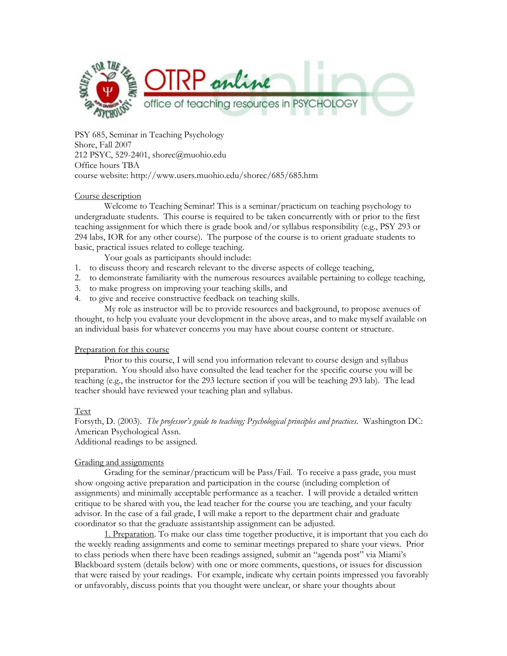

PSY 685, Seminar in Teaching Psychology Shore, Fall 2007 212 PSYC, 529-2401, shorec@muohio.edu Office hours TBA course website: http://www.users.muohio.edu/shorec/685/685.htm

### Course description

Welcome to Teaching Seminar! This is a seminar/practicum on teaching psychology to undergraduate students. This course is required to be taken concurrently with or prior to the first teaching assignment for which there is grade book and/or syllabus responsibility (e.g., PSY 293 or 294 labs, IOR for any other course). The purpose of the course is to orient graduate students to basic, practical issues related to college teaching.

Your goals as participants should include:

- 1. to discuss theory and research relevant to the diverse aspects of college teaching,
- 2. to demonstrate familiarity with the numerous resources available pertaining to college teaching,
- 3. to make progress on improving your teaching skills, and
- 4. to give and receive constructive feedback on teaching skills.

My role as instructor will be to provide resources and background, to propose avenues of thought, to help you evaluate your development in the above areas, and to make myself available on an individual basis for whatever concerns you may have about course content or structure.

## Preparation for this course

Prior to this course, I will send you information relevant to course design and syllabus preparation. You should also have consulted the lead teacher for the specific course you will be teaching (e.g., the instructor for the 293 lecture section if you will be teaching 293 lab). The lead teacher should have reviewed your teaching plan and syllabus.

## Text

Forsyth, D. (2003). *The professor's guide to teaching; Psychological principles and practices.* Washington DC: American Psychological Assn.

Additional readings to be assigned.

## Grading and assignments

Grading for the seminar/practicum will be Pass/Fail. To receive a pass grade, you must show ongoing active preparation and participation in the course (including completion of assignments) and minimally acceptable performance as a teacher. I will provide a detailed written critique to be shared with you, the lead teacher for the course you are teaching, and your faculty advisor. In the case of a fail grade, I will make a report to the department chair and graduate coordinator so that the graduate assistantship assignment can be adjusted.

1. Preparation. To make our class time together productive, it is important that you each do the weekly reading assignments and come to seminar meetings prepared to share your views. Prior to class periods when there have been readings assigned, submit an "agenda post" via Miami's Blackboard system (details below) with one or more comments, questions, or issues for discussion that were raised by your readings. For example, indicate why certain points impressed you favorably or unfavorably, discuss points that you thought were unclear, or share your thoughts about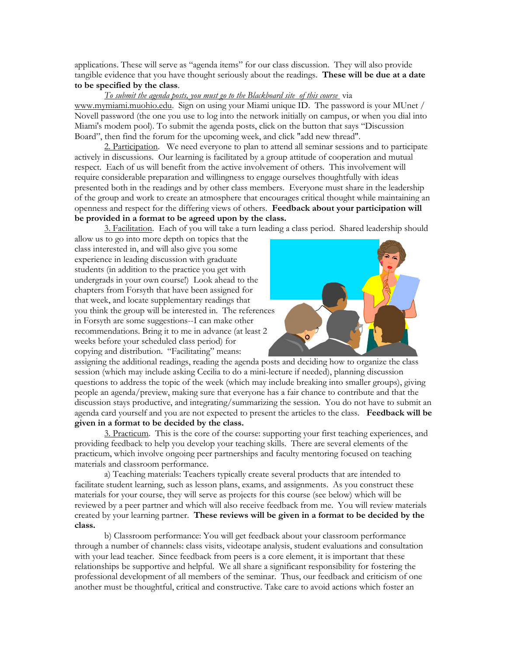applications. These will serve as "agenda items" for our class discussion. They will also provide tangible evidence that you have thought seriously about the readings. **These will be due at a date to be specified by the class**.

*To submit the agenda posts, you must go to the Blackboard site of this course* via www.mymiami.muohio.edu. Sign on using your Miami unique ID. The password is your MUnet / Novell password (the one you use to log into the network initially on campus, or when you dial into Miami's modem pool). To submit the agenda posts, click on the button that says "Discussion Board", then find the forum for the upcoming week, and click "add new thread".

2. Participation. We need everyone to plan to attend all seminar sessions and to participate actively in discussions. Our learning is facilitated by a group attitude of cooperation and mutual respect. Each of us will benefit from the active involvement of others. This involvement will require considerable preparation and willingness to engage ourselves thoughtfully with ideas presented both in the readings and by other class members. Everyone must share in the leadership of the group and work to create an atmosphere that encourages critical thought while maintaining an openness and respect for the differing views of others. **Feedback about your participation will be provided in a format to be agreed upon by the class.** 

3. Facilitation. Each of you will take a turn leading a class period. Shared leadership should

allow us to go into more depth on topics that the class interested in, and will also give you some experience in leading discussion with graduate students (in addition to the practice you get with undergrads in your own course!) Look ahead to the chapters from Forsyth that have been assigned for that week, and locate supplementary readings that you think the group will be interested in. The references in Forsyth are some suggestions--I can make other recommendations. Bring it to me in advance (at least 2 weeks before your scheduled class period) for copying and distribution. "Facilitating" means:



assigning the additional readings, reading the agenda posts and deciding how to organize the class session (which may include asking Cecilia to do a mini-lecture if needed), planning discussion questions to address the topic of the week (which may include breaking into smaller groups), giving people an agenda/preview, making sure that everyone has a fair chance to contribute and that the discussion stays productive, and integrating/summarizing the session. You do not have to submit an agenda card yourself and you are not expected to present the articles to the class. **Feedback will be given in a format to be decided by the class.** 

3. Practicum. This is the core of the course: supporting your first teaching experiences, and providing feedback to help you develop your teaching skills. There are several elements of the practicum, which involve ongoing peer partnerships and faculty mentoring focused on teaching materials and classroom performance.

a) Teaching materials: Teachers typically create several products that are intended to facilitate student learning, such as lesson plans, exams, and assignments. As you construct these materials for your course, they will serve as projects for this course (see below) which will be reviewed by a peer partner and which will also receive feedback from me. You will review materials created by your learning partner. **These reviews will be given in a format to be decided by the class.**

b) Classroom performance: You will get feedback about your classroom performance through a number of channels: class visits, videotape analysis, student evaluations and consultation with your lead teacher. Since feedback from peers is a core element, it is important that these relationships be supportive and helpful. We all share a significant responsibility for fostering the professional development of all members of the seminar. Thus, our feedback and criticism of one another must be thoughtful, critical and constructive. Take care to avoid actions which foster an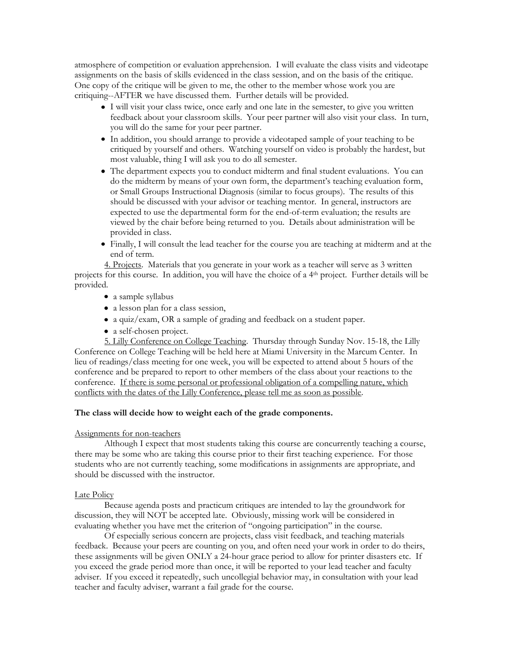atmosphere of competition or evaluation apprehension. I will evaluate the class visits and videotape assignments on the basis of skills evidenced in the class session, and on the basis of the critique. One copy of the critique will be given to me, the other to the member whose work you are critiquing--AFTER we have discussed them. Further details will be provided.

- I will visit your class twice, once early and one late in the semester, to give you written feedback about your classroom skills. Your peer partner will also visit your class. In turn, you will do the same for your peer partner.
- In addition, you should arrange to provide a videotaped sample of your teaching to be critiqued by yourself and others. Watching yourself on video is probably the hardest, but most valuable, thing I will ask you to do all semester.
- The department expects you to conduct midterm and final student evaluations. You can do the midterm by means of your own form, the department's teaching evaluation form, or Small Groups Instructional Diagnosis (similar to focus groups). The results of this should be discussed with your advisor or teaching mentor. In general, instructors are expected to use the departmental form for the end-of-term evaluation; the results are viewed by the chair before being returned to you. Details about administration will be provided in class.
- Finally, I will consult the lead teacher for the course you are teaching at midterm and at the end of term.

4. Projects. Materials that you generate in your work as a teacher will serve as 3 written projects for this course. In addition, you will have the choice of a 4th project. Further details will be provided.

- a sample syllabus
- a lesson plan for a class session,
- a quiz/exam, OR a sample of grading and feedback on a student paper.
- a self-chosen project.

5. Lilly Conference on College Teaching. Thursday through Sunday Nov. 15-18, the Lilly Conference on College Teaching will be held here at Miami University in the Marcum Center. In lieu of readings/class meeting for one week, you will be expected to attend about 5 hours of the conference and be prepared to report to other members of the class about your reactions to the conference. If there is some personal or professional obligation of a compelling nature, which conflicts with the dates of the Lilly Conference, please tell me as soon as possible.

### **The class will decide how to weight each of the grade components.**

### Assignments for non-teachers

Although I expect that most students taking this course are concurrently teaching a course, there may be some who are taking this course prior to their first teaching experience. For those students who are not currently teaching, some modifications in assignments are appropriate, and should be discussed with the instructor.

### Late Policy

Because agenda posts and practicum critiques are intended to lay the groundwork for discussion, they will NOT be accepted late. Obviously, missing work will be considered in evaluating whether you have met the criterion of "ongoing participation" in the course.

Of especially serious concern are projects, class visit feedback, and teaching materials feedback. Because your peers are counting on you, and often need your work in order to do theirs, these assignments will be given ONLY a 24-hour grace period to allow for printer disasters etc. If you exceed the grade period more than once, it will be reported to your lead teacher and faculty adviser. If you exceed it repeatedly, such uncollegial behavior may, in consultation with your lead teacher and faculty adviser, warrant a fail grade for the course.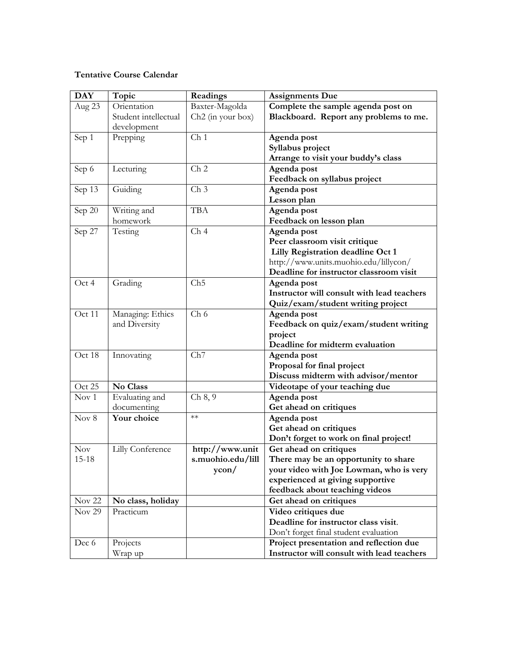## **Tentative Course Calendar**

| <b>DAY</b>        | Topic                | Readings                      | <b>Assignments Due</b>                     |
|-------------------|----------------------|-------------------------------|--------------------------------------------|
| Aug 23            | Orientation          | Baxter-Magolda                | Complete the sample agenda post on         |
|                   | Student intellectual | Ch <sub>2</sub> (in your box) | Blackboard. Report any problems to me.     |
|                   | development          |                               |                                            |
| Sep 1             | Prepping             | Ch <sub>1</sub>               | Agenda post                                |
|                   |                      |                               | Syllabus project                           |
|                   |                      |                               | Arrange to visit your buddy's class        |
| Sep 6             | Lecturing            | Ch <sub>2</sub>               | Agenda post                                |
|                   |                      |                               | Feedback on syllabus project               |
| Sep 13            | Guiding              | Ch <sub>3</sub>               | Agenda post                                |
|                   |                      |                               | Lesson plan                                |
| Sep 20            | Writing and          | <b>TBA</b>                    | Agenda post                                |
|                   | homework             |                               | Feedback on lesson plan                    |
| Sep 27            | Testing              | Ch <sub>4</sub>               | Agenda post                                |
|                   |                      |                               | Peer classroom visit critique              |
|                   |                      |                               | Lilly Registration deadline Oct 1          |
|                   |                      |                               | http://www.units.muohio.edu/lillycon/      |
|                   |                      |                               | Deadline for instructor classroom visit    |
| Oct 4             | Grading              | Ch5                           | Agenda post                                |
|                   |                      |                               | Instructor will consult with lead teachers |
|                   |                      |                               | Quiz/exam/student writing project          |
| Oct 11            | Managing: Ethics     | Ch 6                          | Agenda post                                |
|                   | and Diversity        |                               | Feedback on quiz/exam/student writing      |
|                   |                      |                               | project                                    |
|                   |                      |                               | Deadline for midterm evaluation            |
| Oct 18            | Innovating           | Ch7                           | Agenda post                                |
|                   |                      |                               | Proposal for final project                 |
|                   |                      |                               | Discuss midterm with advisor/mentor        |
| Oct 25            | No Class             |                               | Videotape of your teaching due             |
| Nov 1             | Evaluating and       | Ch 8, 9                       | Agenda post                                |
|                   | documenting          |                               | Get ahead on critiques                     |
| Nov $8$           | Your choice          | $**$                          | Agenda post                                |
|                   |                      |                               | Get ahead on critiques                     |
|                   |                      |                               | Don't forget to work on final project!     |
| Nov               | Lilly Conference     | http://www.unit               | Get ahead on critiques                     |
| $15 - 18$         |                      | s.muohio.edu/lill             | There may be an opportunity to share       |
|                   |                      | ycon/                         | your video with Joe Lowman, who is very    |
|                   |                      |                               | experienced at giving supportive           |
|                   |                      |                               | feedback about teaching videos             |
| Nov <sub>22</sub> | No class, holiday    |                               | Get ahead on critiques                     |
| Nov <sub>29</sub> | Practicum            |                               | Video critiques due                        |
|                   |                      |                               | Deadline for instructor class visit.       |
|                   |                      |                               | Don't forget final student evaluation      |
| Dec 6             | Projects             |                               | Project presentation and reflection due    |
|                   | Wrap up              |                               | Instructor will consult with lead teachers |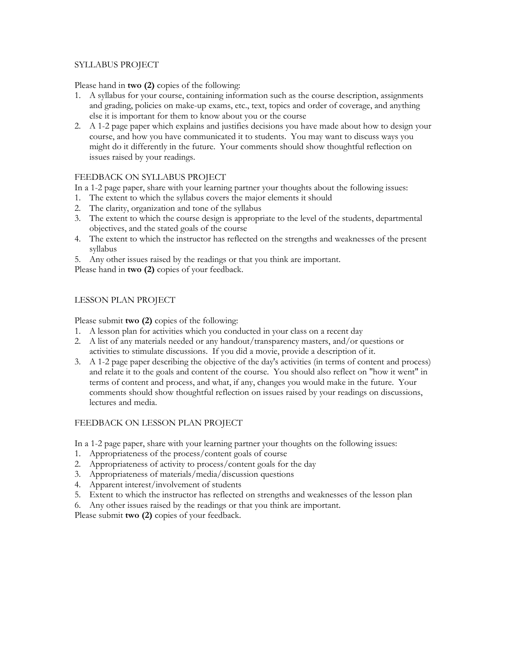## SYLLABUS PROJECT

Please hand in **two (2)** copies of the following:

- 1. A syllabus for your course, containing information such as the course description, assignments and grading, policies on make-up exams, etc., text, topics and order of coverage, and anything else it is important for them to know about you or the course
- 2. A 1-2 page paper which explains and justifies decisions you have made about how to design your course, and how you have communicated it to students. You may want to discuss ways you might do it differently in the future. Your comments should show thoughtful reflection on issues raised by your readings.

# FEEDBACK ON SYLLABUS PROJECT

In a 1-2 page paper, share with your learning partner your thoughts about the following issues:

- 1. The extent to which the syllabus covers the major elements it should
- 2. The clarity, organization and tone of the syllabus
- 3. The extent to which the course design is appropriate to the level of the students, departmental objectives, and the stated goals of the course
- 4. The extent to which the instructor has reflected on the strengths and weaknesses of the present syllabus
- 5. Any other issues raised by the readings or that you think are important.

Please hand in **two (2)** copies of your feedback.

# LESSON PLAN PROJECT

Please submit **two (2)** copies of the following:

- 1. A lesson plan for activities which you conducted in your class on a recent day
- 2. A list of any materials needed or any handout/transparency masters, and/or questions or activities to stimulate discussions. If you did a movie, provide a description of it.
- 3. A 1-2 page paper describing the objective of the day's activities (in terms of content and process) and relate it to the goals and content of the course. You should also reflect on "how it went" in terms of content and process, and what, if any, changes you would make in the future. Your comments should show thoughtful reflection on issues raised by your readings on discussions, lectures and media.

# FEEDBACK ON LESSON PLAN PROJECT

In a 1-2 page paper, share with your learning partner your thoughts on the following issues:

- 1. Appropriateness of the process/content goals of course
- 2. Appropriateness of activity to process/content goals for the day
- 3. Appropriateness of materials/media/discussion questions
- 4. Apparent interest/involvement of students
- 5. Extent to which the instructor has reflected on strengths and weaknesses of the lesson plan

6. Any other issues raised by the readings or that you think are important.

Please submit **two (2)** copies of your feedback.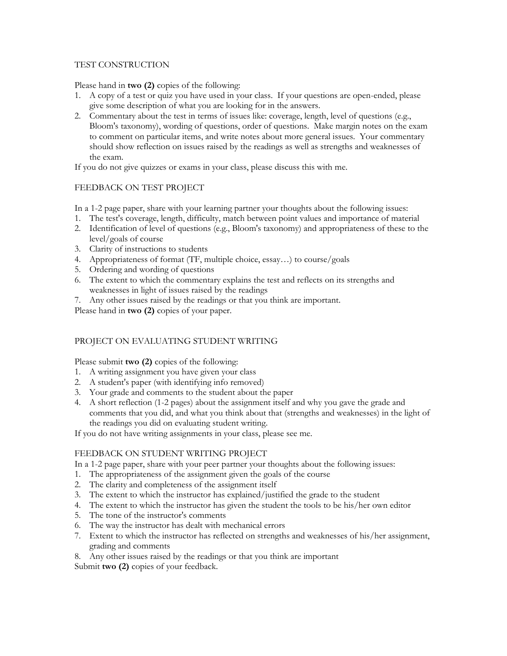## TEST CONSTRUCTION

Please hand in **two (2)** copies of the following:

- 1. A copy of a test or quiz you have used in your class. If your questions are open-ended, please give some description of what you are looking for in the answers.
- 2. Commentary about the test in terms of issues like: coverage, length, level of questions (e.g., Bloom's taxonomy), wording of questions, order of questions. Make margin notes on the exam to comment on particular items, and write notes about more general issues. Your commentary should show reflection on issues raised by the readings as well as strengths and weaknesses of the exam.

If you do not give quizzes or exams in your class, please discuss this with me.

# FEEDBACK ON TEST PROJECT

In a 1-2 page paper, share with your learning partner your thoughts about the following issues:

- 1. The test's coverage, length, difficulty, match between point values and importance of material
- 2. Identification of level of questions (e.g., Bloom's taxonomy) and appropriateness of these to the level/goals of course
- 3. Clarity of instructions to students
- 4. Appropriateness of format (TF, multiple choice, essay…) to course/goals
- 5. Ordering and wording of questions
- 6. The extent to which the commentary explains the test and reflects on its strengths and weaknesses in light of issues raised by the readings
- 7. Any other issues raised by the readings or that you think are important.

Please hand in **two (2)** copies of your paper.

## PROJECT ON EVALUATING STUDENT WRITING

Please submit **two (2)** copies of the following:

- 1. A writing assignment you have given your class
- 2. A student's paper (with identifying info removed)
- 3. Your grade and comments to the student about the paper
- 4. A short reflection (1-2 pages) about the assignment itself and why you gave the grade and comments that you did, and what you think about that (strengths and weaknesses) in the light of the readings you did on evaluating student writing.

If you do not have writing assignments in your class, please see me.

## FEEDBACK ON STUDENT WRITING PROJECT

In a 1-2 page paper, share with your peer partner your thoughts about the following issues:

- 1. The appropriateness of the assignment given the goals of the course
- 2. The clarity and completeness of the assignment itself
- 3. The extent to which the instructor has explained/justified the grade to the student
- 4. The extent to which the instructor has given the student the tools to be his/her own editor
- 5. The tone of the instructor's comments
- 6. The way the instructor has dealt with mechanical errors
- 7. Extent to which the instructor has reflected on strengths and weaknesses of his/her assignment, grading and comments
- 8. Any other issues raised by the readings or that you think are important

Submit **two (2)** copies of your feedback.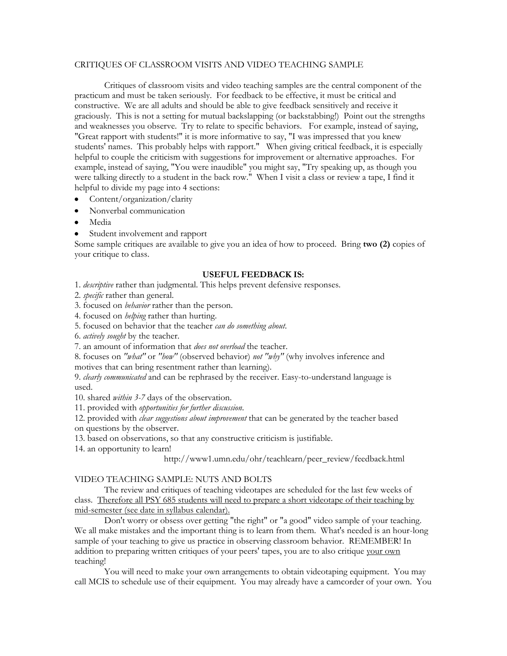#### CRITIQUES OF CLASSROOM VISITS AND VIDEO TEACHING SAMPLE

Critiques of classroom visits and video teaching samples are the central component of the practicum and must be taken seriously. For feedback to be effective, it must be critical and constructive. We are all adults and should be able to give feedback sensitively and receive it graciously. This is not a setting for mutual backslapping (or backstabbing!) Point out the strengths and weaknesses you observe. Try to relate to specific behaviors. For example, instead of saying, "Great rapport with students!" it is more informative to say, "I was impressed that you knew students' names. This probably helps with rapport." When giving critical feedback, it is especially helpful to couple the criticism with suggestions for improvement or alternative approaches. For example, instead of saying, "You were inaudible" you might say, "Try speaking up, as though you were talking directly to a student in the back row." When I visit a class or review a tape, I find it helpful to divide my page into 4 sections:

- Content/organization/clarity
- Nonverbal communication
- Media
- Student involvement and rapport

Some sample critiques are available to give you an idea of how to proceed. Bring **two (2)** copies of your critique to class.

#### **USEFUL FEEDBACK IS:**

1. *descriptive* rather than judgmental. This helps prevent defensive responses.

2. *specific* rather than general.

3. focused on *behavior* rather than the person.

4. focused on *helping* rather than hurting.

5. focused on behavior that the teacher *can do something about*.

6. *actively sought* by the teacher.

7. an amount of information that *does not overload* the teacher.

8. focuses on *"what"* or *"how"* (observed behavior) *not "why"* (why involves inference and motives that can bring resentment rather than learning).

9. *clearly communicated* and can be rephrased by the receiver. Easy-to-understand language is used.

10. shared *within 3-7* days of the observation.

11. provided with *opportunities for further discussion*.

12. provided with *clear suggestions about improvement* that can be generated by the teacher based on questions by the observer.

13. based on observations, so that any constructive criticism is justifiable.

14. an opportunity to learn!

http://www1.umn.edu/ohr/teachlearn/peer\_review/feedback.html

### VIDEO TEACHING SAMPLE: NUTS AND BOLTS

The review and critiques of teaching videotapes are scheduled for the last few weeks of class. Therefore all PSY 685 students will need to prepare a short videotape of their teaching by mid-semester (see date in syllabus calendar).

Don't worry or obsess over getting "the right" or "a good" video sample of your teaching. We all make mistakes and the important thing is to learn from them. What's needed is an hour-long sample of your teaching to give us practice in observing classroom behavior. REMEMBER! In addition to preparing written critiques of your peers' tapes, you are to also critique your own teaching!

You will need to make your own arrangements to obtain videotaping equipment. You may call MCIS to schedule use of their equipment. You may already have a camcorder of your own. You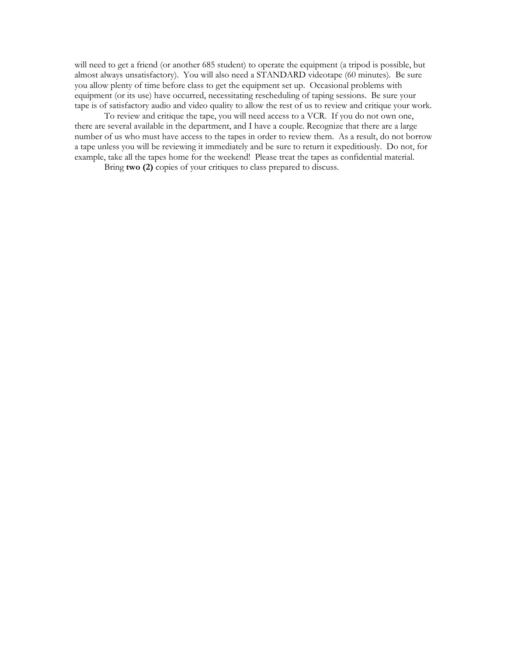will need to get a friend (or another 685 student) to operate the equipment (a tripod is possible, but almost always unsatisfactory). You will also need a STANDARD videotape (60 minutes). Be sure you allow plenty of time before class to get the equipment set up. Occasional problems with equipment (or its use) have occurred, necessitating rescheduling of taping sessions. Be sure your tape is of satisfactory audio and video quality to allow the rest of us to review and critique your work.

To review and critique the tape, you will need access to a VCR. If you do not own one, there are several available in the department, and I have a couple. Recognize that there are a large number of us who must have access to the tapes in order to review them. As a result, do not borrow a tape unless you will be reviewing it immediately and be sure to return it expeditiously. Do not, for example, take all the tapes home for the weekend! Please treat the tapes as confidential material.

Bring **two (2)** copies of your critiques to class prepared to discuss.